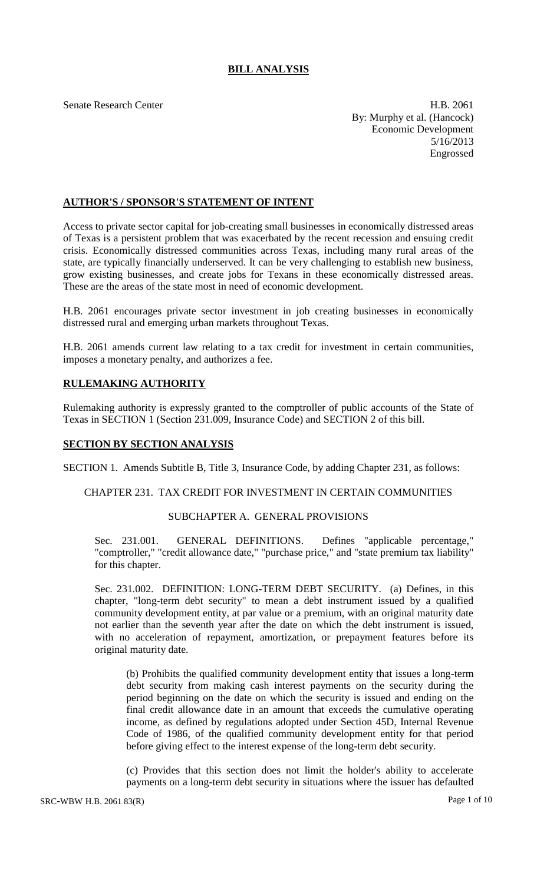# **BILL ANALYSIS**

Senate Research Center **H.B. 2061** By: Murphy et al. (Hancock) Economic Development 5/16/2013 Engrossed

# **AUTHOR'S / SPONSOR'S STATEMENT OF INTENT**

Access to private sector capital for job-creating small businesses in economically distressed areas of Texas is a persistent problem that was exacerbated by the recent recession and ensuing credit crisis. Economically distressed communities across Texas, including many rural areas of the state, are typically financially underserved. It can be very challenging to establish new business, grow existing businesses, and create jobs for Texans in these economically distressed areas. These are the areas of the state most in need of economic development.

H.B. 2061 encourages private sector investment in job creating businesses in economically distressed rural and emerging urban markets throughout Texas.

H.B. 2061 amends current law relating to a tax credit for investment in certain communities, imposes a monetary penalty, and authorizes a fee.

# **RULEMAKING AUTHORITY**

Rulemaking authority is expressly granted to the comptroller of public accounts of the State of Texas in SECTION 1 (Section 231.009, Insurance Code) and SECTION 2 of this bill.

### **SECTION BY SECTION ANALYSIS**

SECTION 1. Amends Subtitle B, Title 3, Insurance Code, by adding Chapter 231, as follows:

#### CHAPTER 231. TAX CREDIT FOR INVESTMENT IN CERTAIN COMMUNITIES

### SUBCHAPTER A. GENERAL PROVISIONS

Sec. 231.001. GENERAL DEFINITIONS. Defines "applicable percentage," "comptroller," "credit allowance date," "purchase price," and "state premium tax liability" for this chapter.

Sec. 231.002. DEFINITION: LONG-TERM DEBT SECURITY. (a) Defines, in this chapter, "long-term debt security" to mean a debt instrument issued by a qualified community development entity, at par value or a premium, with an original maturity date not earlier than the seventh year after the date on which the debt instrument is issued, with no acceleration of repayment, amortization, or prepayment features before its original maturity date.

(b) Prohibits the qualified community development entity that issues a long-term debt security from making cash interest payments on the security during the period beginning on the date on which the security is issued and ending on the final credit allowance date in an amount that exceeds the cumulative operating income, as defined by regulations adopted under Section 45D, Internal Revenue Code of 1986, of the qualified community development entity for that period before giving effect to the interest expense of the long-term debt security.

(c) Provides that this section does not limit the holder's ability to accelerate payments on a long-term debt security in situations where the issuer has defaulted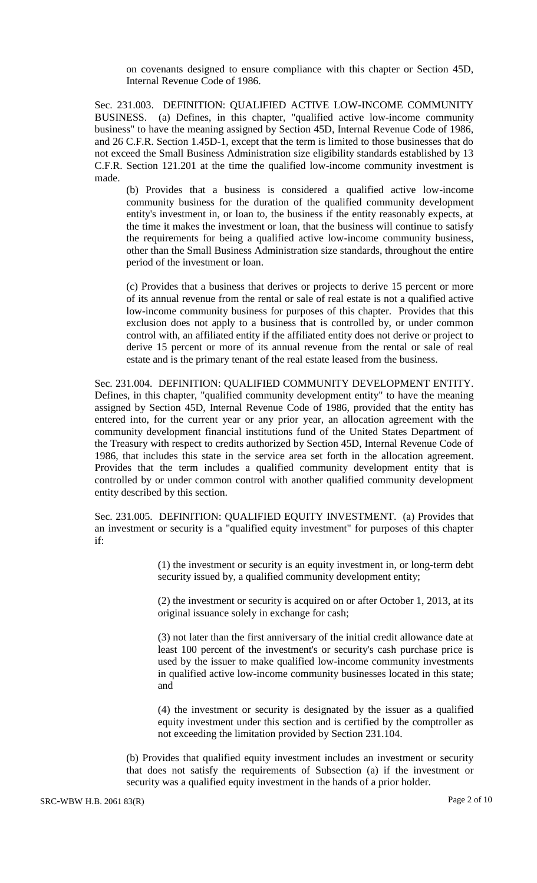on covenants designed to ensure compliance with this chapter or Section 45D, Internal Revenue Code of 1986.

Sec. 231.003. DEFINITION: QUALIFIED ACTIVE LOW-INCOME COMMUNITY BUSINESS. (a) Defines, in this chapter, "qualified active low-income community business" to have the meaning assigned by Section 45D, Internal Revenue Code of 1986, and 26 C.F.R. Section 1.45D-1, except that the term is limited to those businesses that do not exceed the Small Business Administration size eligibility standards established by 13 C.F.R. Section 121.201 at the time the qualified low-income community investment is made.

(b) Provides that a business is considered a qualified active low-income community business for the duration of the qualified community development entity's investment in, or loan to, the business if the entity reasonably expects, at the time it makes the investment or loan, that the business will continue to satisfy the requirements for being a qualified active low-income community business, other than the Small Business Administration size standards, throughout the entire period of the investment or loan.

(c) Provides that a business that derives or projects to derive 15 percent or more of its annual revenue from the rental or sale of real estate is not a qualified active low-income community business for purposes of this chapter. Provides that this exclusion does not apply to a business that is controlled by, or under common control with, an affiliated entity if the affiliated entity does not derive or project to derive 15 percent or more of its annual revenue from the rental or sale of real estate and is the primary tenant of the real estate leased from the business.

Sec. 231.004. DEFINITION: QUALIFIED COMMUNITY DEVELOPMENT ENTITY. Defines, in this chapter, "qualified community development entity" to have the meaning assigned by Section 45D, Internal Revenue Code of 1986, provided that the entity has entered into, for the current year or any prior year, an allocation agreement with the community development financial institutions fund of the United States Department of the Treasury with respect to credits authorized by Section 45D, Internal Revenue Code of 1986, that includes this state in the service area set forth in the allocation agreement. Provides that the term includes a qualified community development entity that is controlled by or under common control with another qualified community development entity described by this section.

Sec. 231.005. DEFINITION: QUALIFIED EQUITY INVESTMENT. (a) Provides that an investment or security is a "qualified equity investment" for purposes of this chapter if:

> (1) the investment or security is an equity investment in, or long-term debt security issued by, a qualified community development entity;

> (2) the investment or security is acquired on or after October 1, 2013, at its original issuance solely in exchange for cash;

> (3) not later than the first anniversary of the initial credit allowance date at least 100 percent of the investment's or security's cash purchase price is used by the issuer to make qualified low-income community investments in qualified active low-income community businesses located in this state; and

> (4) the investment or security is designated by the issuer as a qualified equity investment under this section and is certified by the comptroller as not exceeding the limitation provided by Section 231.104.

(b) Provides that qualified equity investment includes an investment or security that does not satisfy the requirements of Subsection (a) if the investment or security was a qualified equity investment in the hands of a prior holder.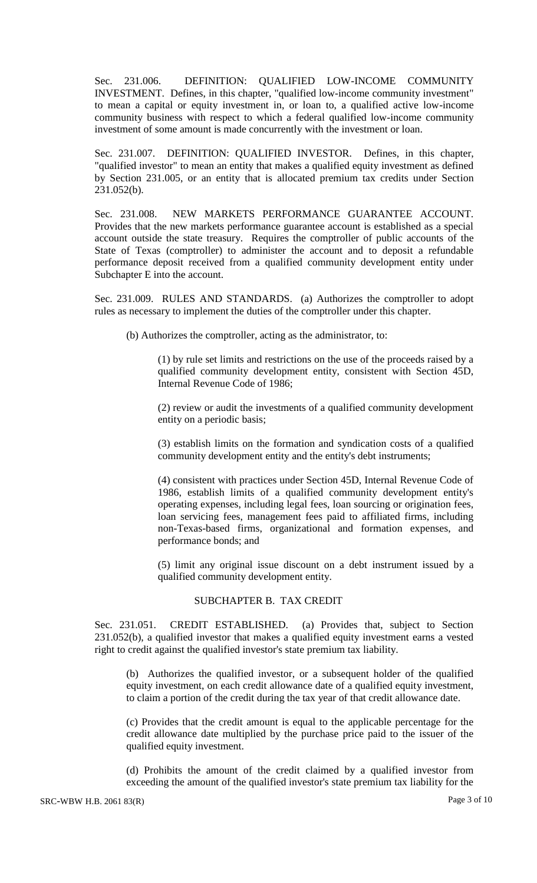Sec. 231.006. DEFINITION: QUALIFIED LOW-INCOME COMMUNITY INVESTMENT. Defines, in this chapter, "qualified low-income community investment" to mean a capital or equity investment in, or loan to, a qualified active low-income community business with respect to which a federal qualified low-income community investment of some amount is made concurrently with the investment or loan.

Sec. 231.007. DEFINITION: QUALIFIED INVESTOR. Defines, in this chapter, "qualified investor" to mean an entity that makes a qualified equity investment as defined by Section 231.005, or an entity that is allocated premium tax credits under Section 231.052(b).

Sec. 231.008. NEW MARKETS PERFORMANCE GUARANTEE ACCOUNT. Provides that the new markets performance guarantee account is established as a special account outside the state treasury. Requires the comptroller of public accounts of the State of Texas (comptroller) to administer the account and to deposit a refundable performance deposit received from a qualified community development entity under Subchapter E into the account.

Sec. 231.009. RULES AND STANDARDS. (a) Authorizes the comptroller to adopt rules as necessary to implement the duties of the comptroller under this chapter.

(b) Authorizes the comptroller, acting as the administrator, to:

(1) by rule set limits and restrictions on the use of the proceeds raised by a qualified community development entity, consistent with Section 45D, Internal Revenue Code of 1986;

(2) review or audit the investments of a qualified community development entity on a periodic basis;

(3) establish limits on the formation and syndication costs of a qualified community development entity and the entity's debt instruments;

(4) consistent with practices under Section 45D, Internal Revenue Code of 1986, establish limits of a qualified community development entity's operating expenses, including legal fees, loan sourcing or origination fees, loan servicing fees, management fees paid to affiliated firms, including non-Texas-based firms, organizational and formation expenses, and performance bonds; and

(5) limit any original issue discount on a debt instrument issued by a qualified community development entity.

#### SUBCHAPTER B. TAX CREDIT

Sec. 231.051. CREDIT ESTABLISHED. (a) Provides that, subject to Section 231.052(b), a qualified investor that makes a qualified equity investment earns a vested right to credit against the qualified investor's state premium tax liability.

(b) Authorizes the qualified investor, or a subsequent holder of the qualified equity investment, on each credit allowance date of a qualified equity investment, to claim a portion of the credit during the tax year of that credit allowance date.

(c) Provides that the credit amount is equal to the applicable percentage for the credit allowance date multiplied by the purchase price paid to the issuer of the qualified equity investment.

(d) Prohibits the amount of the credit claimed by a qualified investor from exceeding the amount of the qualified investor's state premium tax liability for the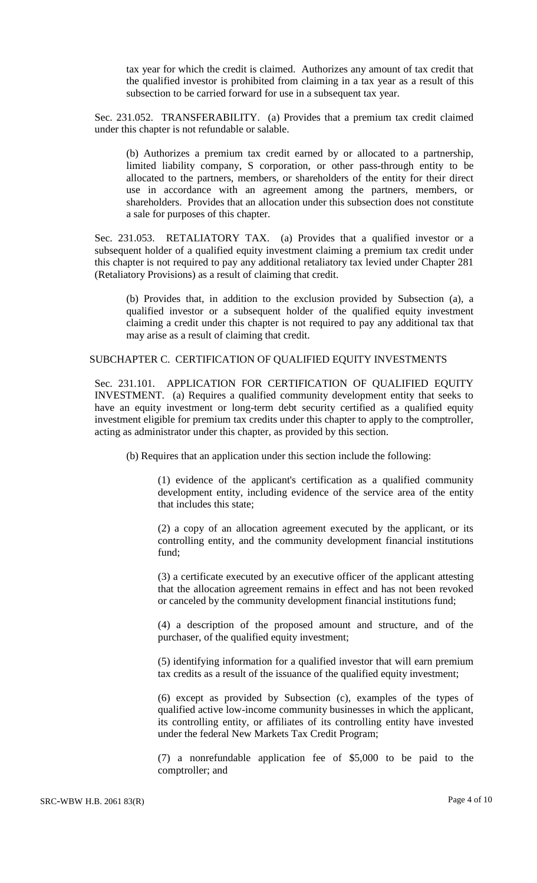tax year for which the credit is claimed. Authorizes any amount of tax credit that the qualified investor is prohibited from claiming in a tax year as a result of this subsection to be carried forward for use in a subsequent tax year.

Sec. 231.052. TRANSFERABILITY. (a) Provides that a premium tax credit claimed under this chapter is not refundable or salable.

(b) Authorizes a premium tax credit earned by or allocated to a partnership, limited liability company, S corporation, or other pass-through entity to be allocated to the partners, members, or shareholders of the entity for their direct use in accordance with an agreement among the partners, members, or shareholders. Provides that an allocation under this subsection does not constitute a sale for purposes of this chapter.

Sec. 231.053. RETALIATORY TAX. (a) Provides that a qualified investor or a subsequent holder of a qualified equity investment claiming a premium tax credit under this chapter is not required to pay any additional retaliatory tax levied under Chapter 281 (Retaliatory Provisions) as a result of claiming that credit.

(b) Provides that, in addition to the exclusion provided by Subsection (a), a qualified investor or a subsequent holder of the qualified equity investment claiming a credit under this chapter is not required to pay any additional tax that may arise as a result of claiming that credit.

### SUBCHAPTER C. CERTIFICATION OF QUALIFIED EQUITY INVESTMENTS

Sec. 231.101. APPLICATION FOR CERTIFICATION OF QUALIFIED EQUITY INVESTMENT. (a) Requires a qualified community development entity that seeks to have an equity investment or long-term debt security certified as a qualified equity investment eligible for premium tax credits under this chapter to apply to the comptroller, acting as administrator under this chapter, as provided by this section.

(b) Requires that an application under this section include the following:

(1) evidence of the applicant's certification as a qualified community development entity, including evidence of the service area of the entity that includes this state;

(2) a copy of an allocation agreement executed by the applicant, or its controlling entity, and the community development financial institutions fund;

(3) a certificate executed by an executive officer of the applicant attesting that the allocation agreement remains in effect and has not been revoked or canceled by the community development financial institutions fund;

(4) a description of the proposed amount and structure, and of the purchaser, of the qualified equity investment;

(5) identifying information for a qualified investor that will earn premium tax credits as a result of the issuance of the qualified equity investment;

(6) except as provided by Subsection (c), examples of the types of qualified active low-income community businesses in which the applicant, its controlling entity, or affiliates of its controlling entity have invested under the federal New Markets Tax Credit Program;

(7) a nonrefundable application fee of \$5,000 to be paid to the comptroller; and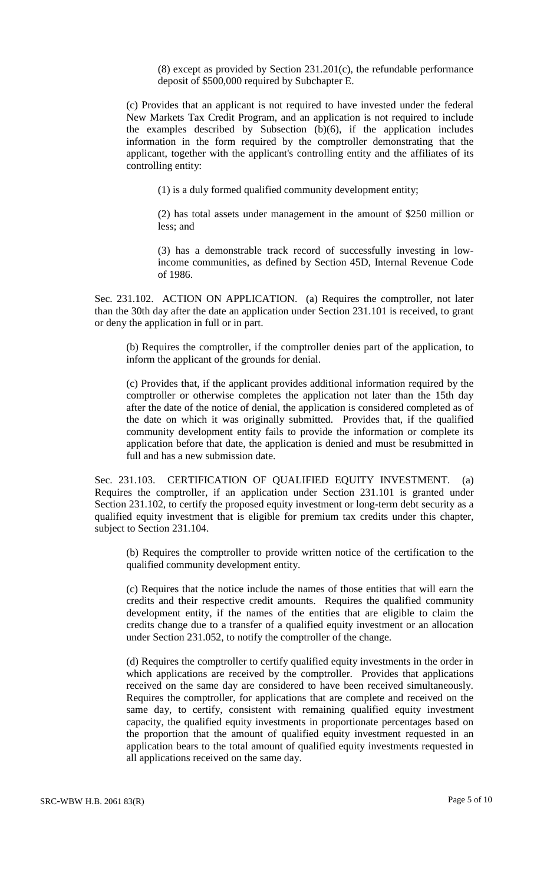(8) except as provided by Section 231.201(c), the refundable performance deposit of \$500,000 required by Subchapter E.

(c) Provides that an applicant is not required to have invested under the federal New Markets Tax Credit Program, and an application is not required to include the examples described by Subsection (b)(6), if the application includes information in the form required by the comptroller demonstrating that the applicant, together with the applicant's controlling entity and the affiliates of its controlling entity:

(1) is a duly formed qualified community development entity;

(2) has total assets under management in the amount of \$250 million or less; and

(3) has a demonstrable track record of successfully investing in lowincome communities, as defined by Section 45D, Internal Revenue Code of 1986.

Sec. 231.102. ACTION ON APPLICATION. (a) Requires the comptroller, not later than the 30th day after the date an application under Section 231.101 is received, to grant or deny the application in full or in part.

(b) Requires the comptroller, if the comptroller denies part of the application, to inform the applicant of the grounds for denial.

(c) Provides that, if the applicant provides additional information required by the comptroller or otherwise completes the application not later than the 15th day after the date of the notice of denial, the application is considered completed as of the date on which it was originally submitted. Provides that, if the qualified community development entity fails to provide the information or complete its application before that date, the application is denied and must be resubmitted in full and has a new submission date.

Sec. 231.103. CERTIFICATION OF QUALIFIED EQUITY INVESTMENT. (a) Requires the comptroller, if an application under Section 231.101 is granted under Section 231.102, to certify the proposed equity investment or long-term debt security as a qualified equity investment that is eligible for premium tax credits under this chapter, subject to Section 231.104.

(b) Requires the comptroller to provide written notice of the certification to the qualified community development entity.

(c) Requires that the notice include the names of those entities that will earn the credits and their respective credit amounts. Requires the qualified community development entity, if the names of the entities that are eligible to claim the credits change due to a transfer of a qualified equity investment or an allocation under Section 231.052, to notify the comptroller of the change.

(d) Requires the comptroller to certify qualified equity investments in the order in which applications are received by the comptroller. Provides that applications received on the same day are considered to have been received simultaneously. Requires the comptroller, for applications that are complete and received on the same day, to certify, consistent with remaining qualified equity investment capacity, the qualified equity investments in proportionate percentages based on the proportion that the amount of qualified equity investment requested in an application bears to the total amount of qualified equity investments requested in all applications received on the same day.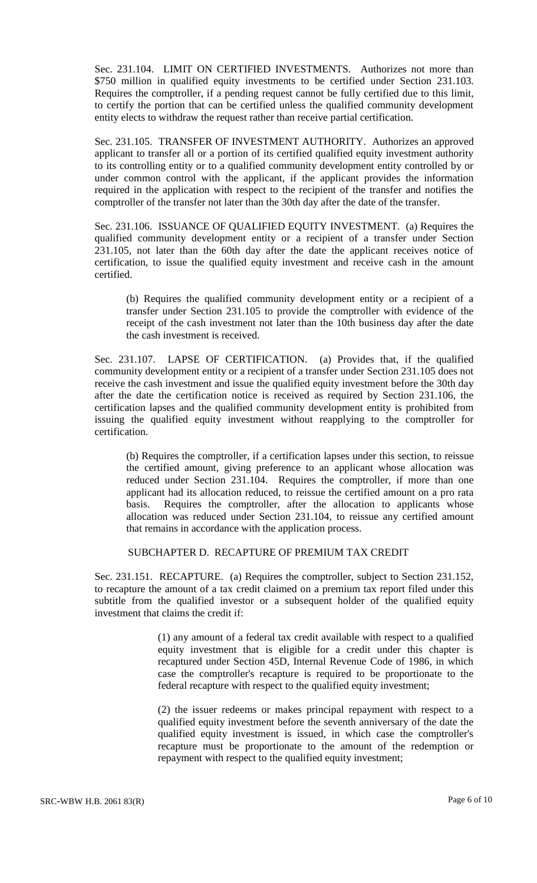Sec. 231.104. LIMIT ON CERTIFIED INVESTMENTS. Authorizes not more than \$750 million in qualified equity investments to be certified under Section 231.103. Requires the comptroller, if a pending request cannot be fully certified due to this limit, to certify the portion that can be certified unless the qualified community development entity elects to withdraw the request rather than receive partial certification.

Sec. 231.105. TRANSFER OF INVESTMENT AUTHORITY. Authorizes an approved applicant to transfer all or a portion of its certified qualified equity investment authority to its controlling entity or to a qualified community development entity controlled by or under common control with the applicant, if the applicant provides the information required in the application with respect to the recipient of the transfer and notifies the comptroller of the transfer not later than the 30th day after the date of the transfer.

Sec. 231.106. ISSUANCE OF QUALIFIED EQUITY INVESTMENT. (a) Requires the qualified community development entity or a recipient of a transfer under Section 231.105, not later than the 60th day after the date the applicant receives notice of certification, to issue the qualified equity investment and receive cash in the amount certified.

(b) Requires the qualified community development entity or a recipient of a transfer under Section 231.105 to provide the comptroller with evidence of the receipt of the cash investment not later than the 10th business day after the date the cash investment is received.

Sec. 231.107. LAPSE OF CERTIFICATION. (a) Provides that, if the qualified community development entity or a recipient of a transfer under Section 231.105 does not receive the cash investment and issue the qualified equity investment before the 30th day after the date the certification notice is received as required by Section 231.106, the certification lapses and the qualified community development entity is prohibited from issuing the qualified equity investment without reapplying to the comptroller for certification.

(b) Requires the comptroller, if a certification lapses under this section, to reissue the certified amount, giving preference to an applicant whose allocation was reduced under Section 231.104. Requires the comptroller, if more than one applicant had its allocation reduced, to reissue the certified amount on a pro rata basis. Requires the comptroller, after the allocation to applicants whose allocation was reduced under Section 231.104, to reissue any certified amount that remains in accordance with the application process.

#### SUBCHAPTER D. RECAPTURE OF PREMIUM TAX CREDIT

Sec. 231.151. RECAPTURE. (a) Requires the comptroller, subject to Section 231.152, to recapture the amount of a tax credit claimed on a premium tax report filed under this subtitle from the qualified investor or a subsequent holder of the qualified equity investment that claims the credit if:

> (1) any amount of a federal tax credit available with respect to a qualified equity investment that is eligible for a credit under this chapter is recaptured under Section 45D, Internal Revenue Code of 1986, in which case the comptroller's recapture is required to be proportionate to the federal recapture with respect to the qualified equity investment;

> (2) the issuer redeems or makes principal repayment with respect to a qualified equity investment before the seventh anniversary of the date the qualified equity investment is issued, in which case the comptroller's recapture must be proportionate to the amount of the redemption or repayment with respect to the qualified equity investment;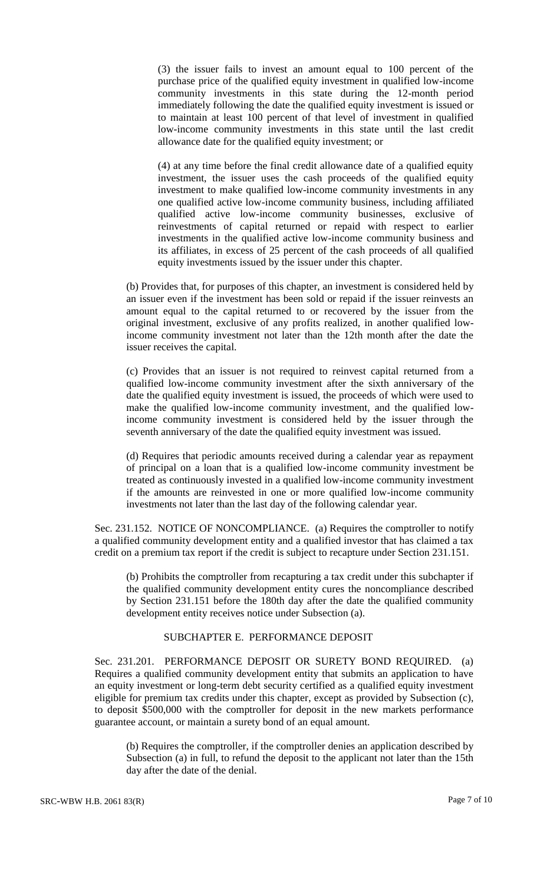(3) the issuer fails to invest an amount equal to 100 percent of the purchase price of the qualified equity investment in qualified low-income community investments in this state during the 12-month period immediately following the date the qualified equity investment is issued or to maintain at least 100 percent of that level of investment in qualified low-income community investments in this state until the last credit allowance date for the qualified equity investment; or

(4) at any time before the final credit allowance date of a qualified equity investment, the issuer uses the cash proceeds of the qualified equity investment to make qualified low-income community investments in any one qualified active low-income community business, including affiliated qualified active low-income community businesses, exclusive of reinvestments of capital returned or repaid with respect to earlier investments in the qualified active low-income community business and its affiliates, in excess of 25 percent of the cash proceeds of all qualified equity investments issued by the issuer under this chapter.

(b) Provides that, for purposes of this chapter, an investment is considered held by an issuer even if the investment has been sold or repaid if the issuer reinvests an amount equal to the capital returned to or recovered by the issuer from the original investment, exclusive of any profits realized, in another qualified lowincome community investment not later than the 12th month after the date the issuer receives the capital.

(c) Provides that an issuer is not required to reinvest capital returned from a qualified low-income community investment after the sixth anniversary of the date the qualified equity investment is issued, the proceeds of which were used to make the qualified low-income community investment, and the qualified lowincome community investment is considered held by the issuer through the seventh anniversary of the date the qualified equity investment was issued.

(d) Requires that periodic amounts received during a calendar year as repayment of principal on a loan that is a qualified low-income community investment be treated as continuously invested in a qualified low-income community investment if the amounts are reinvested in one or more qualified low-income community investments not later than the last day of the following calendar year.

Sec. 231.152. NOTICE OF NONCOMPLIANCE. (a) Requires the comptroller to notify a qualified community development entity and a qualified investor that has claimed a tax credit on a premium tax report if the credit is subject to recapture under Section 231.151.

(b) Prohibits the comptroller from recapturing a tax credit under this subchapter if the qualified community development entity cures the noncompliance described by Section 231.151 before the 180th day after the date the qualified community development entity receives notice under Subsection (a).

#### SUBCHAPTER E. PERFORMANCE DEPOSIT

Sec. 231.201. PERFORMANCE DEPOSIT OR SURETY BOND REQUIRED. (a) Requires a qualified community development entity that submits an application to have an equity investment or long-term debt security certified as a qualified equity investment eligible for premium tax credits under this chapter, except as provided by Subsection (c), to deposit \$500,000 with the comptroller for deposit in the new markets performance guarantee account, or maintain a surety bond of an equal amount.

(b) Requires the comptroller, if the comptroller denies an application described by Subsection (a) in full, to refund the deposit to the applicant not later than the 15th day after the date of the denial.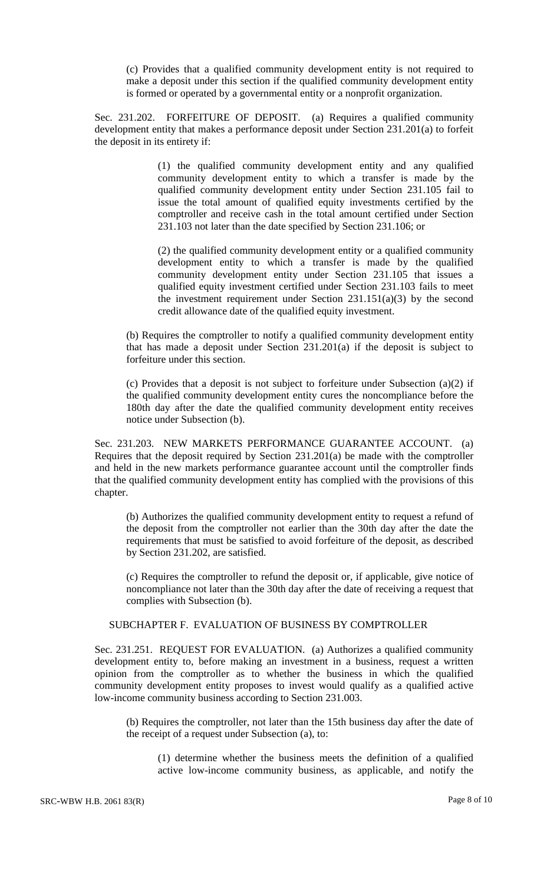(c) Provides that a qualified community development entity is not required to make a deposit under this section if the qualified community development entity is formed or operated by a governmental entity or a nonprofit organization.

Sec. 231.202. FORFEITURE OF DEPOSIT. (a) Requires a qualified community development entity that makes a performance deposit under Section 231.201(a) to forfeit the deposit in its entirety if:

> (1) the qualified community development entity and any qualified community development entity to which a transfer is made by the qualified community development entity under Section 231.105 fail to issue the total amount of qualified equity investments certified by the comptroller and receive cash in the total amount certified under Section 231.103 not later than the date specified by Section 231.106; or

> (2) the qualified community development entity or a qualified community development entity to which a transfer is made by the qualified community development entity under Section 231.105 that issues a qualified equity investment certified under Section 231.103 fails to meet the investment requirement under Section  $231.151(a)(3)$  by the second credit allowance date of the qualified equity investment.

(b) Requires the comptroller to notify a qualified community development entity that has made a deposit under Section 231.201(a) if the deposit is subject to forfeiture under this section.

(c) Provides that a deposit is not subject to forfeiture under Subsection (a)(2) if the qualified community development entity cures the noncompliance before the 180th day after the date the qualified community development entity receives notice under Subsection (b).

Sec. 231.203. NEW MARKETS PERFORMANCE GUARANTEE ACCOUNT. (a) Requires that the deposit required by Section 231.201(a) be made with the comptroller and held in the new markets performance guarantee account until the comptroller finds that the qualified community development entity has complied with the provisions of this chapter.

(b) Authorizes the qualified community development entity to request a refund of the deposit from the comptroller not earlier than the 30th day after the date the requirements that must be satisfied to avoid forfeiture of the deposit, as described by Section 231.202, are satisfied.

(c) Requires the comptroller to refund the deposit or, if applicable, give notice of noncompliance not later than the 30th day after the date of receiving a request that complies with Subsection (b).

#### SUBCHAPTER F. EVALUATION OF BUSINESS BY COMPTROLLER

Sec. 231.251. REQUEST FOR EVALUATION. (a) Authorizes a qualified community development entity to, before making an investment in a business, request a written opinion from the comptroller as to whether the business in which the qualified community development entity proposes to invest would qualify as a qualified active low-income community business according to Section 231.003.

(b) Requires the comptroller, not later than the 15th business day after the date of the receipt of a request under Subsection (a), to:

(1) determine whether the business meets the definition of a qualified active low-income community business, as applicable, and notify the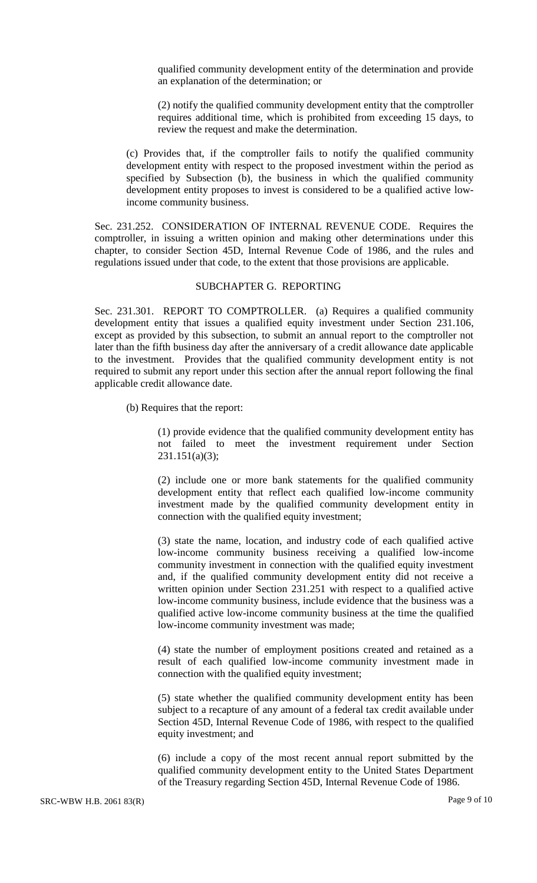qualified community development entity of the determination and provide an explanation of the determination; or

(2) notify the qualified community development entity that the comptroller requires additional time, which is prohibited from exceeding 15 days, to review the request and make the determination.

(c) Provides that, if the comptroller fails to notify the qualified community development entity with respect to the proposed investment within the period as specified by Subsection (b), the business in which the qualified community development entity proposes to invest is considered to be a qualified active lowincome community business.

Sec. 231.252. CONSIDERATION OF INTERNAL REVENUE CODE. Requires the comptroller, in issuing a written opinion and making other determinations under this chapter, to consider Section 45D, Internal Revenue Code of 1986, and the rules and regulations issued under that code, to the extent that those provisions are applicable.

# SUBCHAPTER G. REPORTING

Sec. 231.301. REPORT TO COMPTROLLER. (a) Requires a qualified community development entity that issues a qualified equity investment under Section 231.106, except as provided by this subsection, to submit an annual report to the comptroller not later than the fifth business day after the anniversary of a credit allowance date applicable to the investment. Provides that the qualified community development entity is not required to submit any report under this section after the annual report following the final applicable credit allowance date.

(b) Requires that the report:

(1) provide evidence that the qualified community development entity has not failed to meet the investment requirement under Section 231.151(a)(3);

(2) include one or more bank statements for the qualified community development entity that reflect each qualified low-income community investment made by the qualified community development entity in connection with the qualified equity investment;

(3) state the name, location, and industry code of each qualified active low-income community business receiving a qualified low-income community investment in connection with the qualified equity investment and, if the qualified community development entity did not receive a written opinion under Section 231.251 with respect to a qualified active low-income community business, include evidence that the business was a qualified active low-income community business at the time the qualified low-income community investment was made;

(4) state the number of employment positions created and retained as a result of each qualified low-income community investment made in connection with the qualified equity investment;

(5) state whether the qualified community development entity has been subject to a recapture of any amount of a federal tax credit available under Section 45D, Internal Revenue Code of 1986, with respect to the qualified equity investment; and

(6) include a copy of the most recent annual report submitted by the qualified community development entity to the United States Department of the Treasury regarding Section 45D, Internal Revenue Code of 1986.